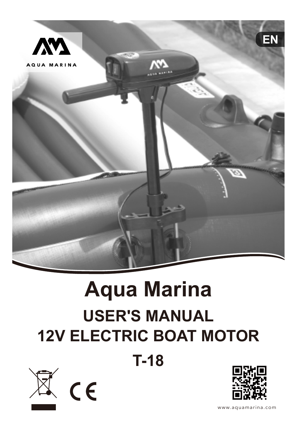

# **Aqua Marina USER'S MANUAL 12V ELECTRIC BOAT MOTOR**

**T-18**





www.aquamarina.com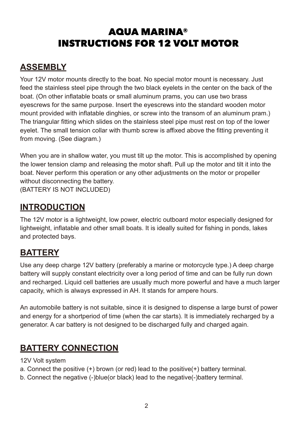## AQUA MARINA® INSTRUCTIONS FOR 12 VOLT MOTOR

## **ASSEMBLY**

Your 12V motor mounts directly to the boat. No special motor mount is necessary. Just feed the stainless steel pipe through the two black eyelets in the center on the back of the boat. (On other inflatable boats or small aluminum prams, you can use two brass eyescrews for the same purpose. Insert the eyescrews into the standard wooden motor mount provided with inflatable dinghies, or screw into the transom of an aluminum pram.) The triangular fitting which slides on the stainless steel pipe must rest on top of the lower eyelet. The small tension collar with thumb screw is affixed above the fitting preventing it from moving. (See diagram.)

When you are in shallow water, you must tilt up the motor. This is accomplished by opening the lower tension clamp and releasing the motor shaft. Pull up the motor and tilt it into the boat. Never perform this operation or any other adjustments on the motor or propeller without disconnecting the battery. (BATTERY IS NOT INCLUDED)

**INTRODUCTION**

The 12V motor is a lightweight, low power, electric outboard motor especially designed for lightweight, inflatable and other small boats. It is ideally suited for fishing in ponds, lakes and protected bays.

#### **BATTERY**

Use any deep charge 12V battery (preferably a marine or motorcycle type.) A deep charge battery will supply constant electricity over a long period of time and can be fully run down and recharged. Liquid cell batteries are usually much more powerful and have a much larger capacity, which is always expressed in AH. It stands for ampere hours.

An automobile battery is not suitable, since it is designed to dispense a large burst of power and energy for a shortperiod of time (when the car starts). It is immediately recharged by a generator. A car battery is not designed to be discharged fully and charged again.

### **BATTERY CONNECTION**

12V Volt system

- a. Connect the positive (+) brown (or red) lead to the positive(+) battery terminal.
- b. Connect the negative (-)blue(or black) lead to the negative(-)battery terminal.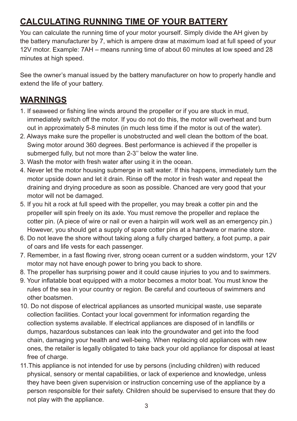## **CALCULATING RUNNING TIME OF YOUR BATTERY**

You can calculate the running time of your motor yourself. Simply divide the AH given by the battery manufacturer by 7, which is ampere draw at maximum load at full speed of your 12V motor. Example: 7AH – means running time of about 60 minutes at low speed and 28 minutes at high speed.

See the owner's manual issued by the battery manufacturer on how to properly handle and extend the life of your battery.

#### **WARNINGS**

- 1. If seaweed or fishing line winds around the propeller or if you are stuck in mud, immediately switch off the motor. If you do not do this, the motor will overheat and burn out in approximately 5-8 minutes (in much less time if the motor is out of the water).
- 2. Always make sure the propeller is unobstructed and well clean the bottom of the boat. Swing motor around 360 degrees. Best performance is achieved if the propeller is submerged fully, but not more than 2-3'' below the water line.
- 3. Wash the motor with fresh water after using it in the ocean.
- 4. Never let the motor housing submerge in salt water. If this happens, immediately turn the motor upside down and let it drain. Rinse off the motor in fresh water and repeat the draining and drying procedure as soon as possible. Chanced are very good that your motor will not be damaged.
- 5. If you hit a rock at full speed with the propeller, you may break a cotter pin and the propeller will spin freely on its axle. You must remove the propeller and replace the cotter pin. (A piece of wire or nail or even a hairpin will work well as an emergency pin.) However, you should get a supply of spare cotter pins at a hardware or marine store.
- 6. Do not leave the shore without taking along a fully charged battery, a foot pump, a pair of oars and life vests for each passenger.
- 7. Remember, in a fast flowing river, strong ocean current or a sudden windstorm, your 12V motor may not have enough power to bring you back to shore.
- 8. The propeller has surprising power and it could cause injuries to you and to swimmers.
- 9. Your inflatable boat equipped with a motor becomes a motor boat. You must know the rules of the sea in your country or region. Be careful and courteous of swimmers and other boatsmen.
- 10. Do not dispose of electrical appliances as unsorted municipal waste, use separate collection facilities. Contact your local government for information regarding the collection systems available. If electrical appliances are disposed of in landfills or dumps, hazardous substances can leak into the groundwater and get into the food chain, damaging your health and well-being. When replacing old appliances with new ones, the retailer is legally obligated to take back your old appliance for disposal at least free of charge.
- 11.This appliance is not intended for use by persons (including children) with reduced physical, sensory or mental capabilities, or lack of experience and knowledge, unless they have been given supervision or instruction concerning use of the appliance by a person responsible for their safety. Children should be supervised to ensure that they do not play with the appliance.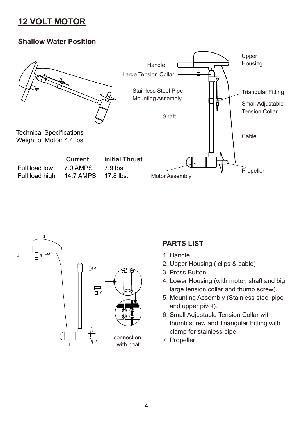#### **12 VOLT MOTOR**

#### **Shallow Water Position**





#### **PARTS LIST**

- 1. Handle
- 2. Upper Housing ( clips & cable)
- 3. Press Button
- 4. Lower Housing (with motor, shaft and big large tension collar and thumb screw).
- 5. Mounting Assembly (Stainless steel pipe and upper pivot).
- 6. Small Adjustable Tension Collar with thumb screw and Triangular Fitting with clamp for stainless pipe.
- 7. Propeller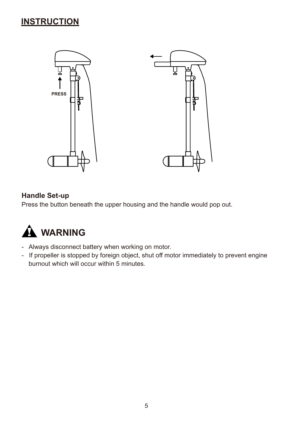#### **INSTRUCTION**



#### **Handle Set-up**

Press the button beneath the upper housing and the handle would pop out.



- Always disconnect battery when working on motor.
- If propeller is stopped by foreign object, shut off motor immediately to prevent engine burnout which will occur within 5 minutes.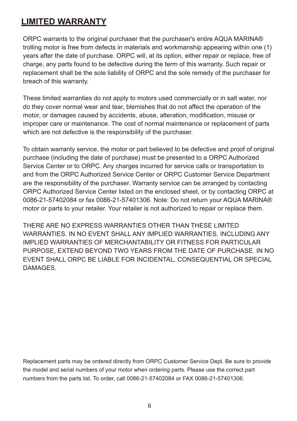#### **LIMITED WARRANTY**

ORPC warrants to the original purchaser that the purchaser's entire AQUA MARINA® trolling motor is free from defects in materials and workmanship appearing within one (1) years after the date of purchase. ORPC will, at its option, either repair or replace, free of charge, any parts found to be defective during the term of this warranty. Such repair or replacement shall be the sole liability of ORPC and the sole remedy of the purchaser for breach of this warranty.

These limited warranties do not apply to motors used commercially or in salt water, nor do they cover normal wear and tear, blemishes that do not affect the operation of the motor, or damages caused by accidents, abuse, alteration, modification, misuse or improper care or maintenance. The cost of normal maintenance or replacement of parts which are not defective is the responsibility of the purchaser.

To obtain warranty service, the motor or part believed to be defective and proof of original purchase (including the date of purchase) must be presented to a ORPC Authorized Service Center or to ORPC. Any charges incurred for service calls or transportation to and from the ORPC Authorized Service Center or ORPC Customer Service Department are the responsibility of the purchaser. Warranty service can be arranged by contacting ORPC Authorized Service Center listed on the enclosed sheet, or by contacting ORPC at 0086-21-57402084 or fax 0086-21-57401306. Note: Do not return your AQUA MARINA® motor or parts to your retailer. Your retailer is not authorized to repair or replace them.

THERE ARE NO EXPRESS WARRANTIES OTHER THAN THESE LIMITED WARRANTIES. IN NO EVENT SHALL ANY IMPLIED WARRANTIES, INCLUDING ANY IMPLIED WARRANTIES OF MERCHANTABILITY OR FITNESS FOR PARTICULAR PURPOSE, EXTEND BEYOND TWO YEARS FROM THE DATE OF PURCHASE. IN NO EVENT SHALL ORPC BE LIABLE FOR INCIDENTAL, CONSEQUENTIAL OR SPECIAL **DAMAGES** 

Replacement parts may be ordered directly from ORPC Customer Service Dept. Be sure to provide the model and serial numbers of your motor when ordering parts. Please use the correct part numbers from the parts list. To order, call 0086-21-57402084 or FAX 0086-21-57401306.